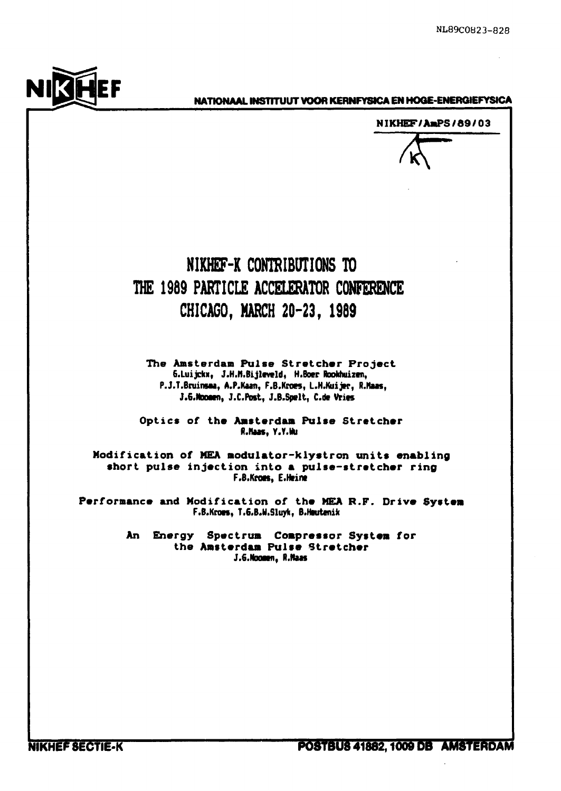

# **NATIONAAL INSTITUUT VOOR KERNFYSICA EN HOQE-ENERQIEFYSICA**

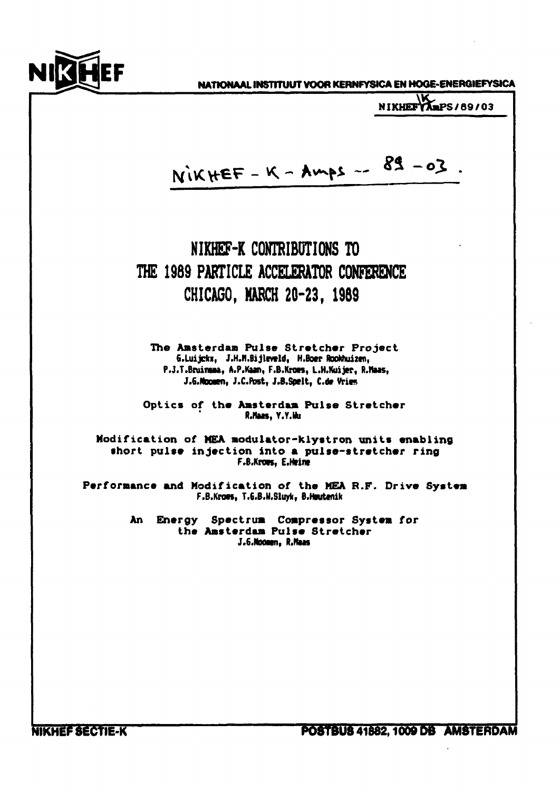

**NICEF NATIONAAL INSTITUUT VOOR KERNFYSICA EN HOGE-ENERGIEFYSICA** 

**NIKHEF AmPS / 89 / 03** RIKHEF - K - Amps -- 89 -03 **NIKHEF-K CONTRIBUTIONS TO THE 198 9 PARTICLE ACCELERATOR CONFERENCE CHICAGO, MARCH 20-23 , 19S9 The Amsterdam Pulse Stretcher Project 6.Luijckx, J.H.n.Bijleveld, H.Boer RooWuiien, P.J.T.Bruinsta, A.P.Kaa», F.B.Kraes, L.H.Kuijer, R.Haas,**  J.6.Noomen, J.C.Post, J.B.Spelt, C.de Vries Optics of the Amsterdam Pulse Stretcher **R.Haas, Y.Y.KI Modification of MEA modulator-klystron units enabling short pulse injection into a pulse-stretcher ring FtBiKrotSf EiHeine**  Performance and Modification of the MEA R.F. Drive System F.B.Kroes, T.G.B.H.Sluyk, B.Heutenik **An Energy Spectrum Compressor System for the Amsterdam Pulse Stretcher**  J.6.Noonen, R.Maas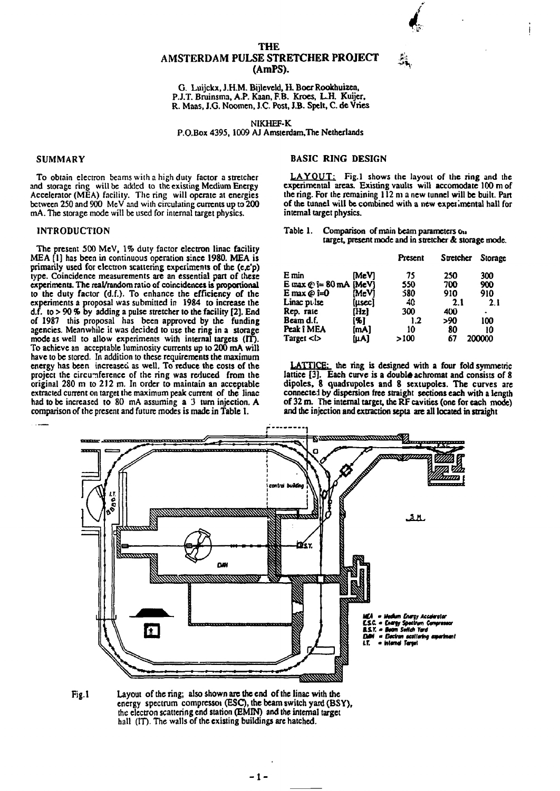# **THE AMSTERDAM PULSE STRETCHER PROJECT (AmPS).**

**G. Luijckx, J.H.M. Bijleveld, H. Boe r Rookhutzen, P.J.T. Bminsma, A.P. Kaan, F.B. Kroes, L.H. Kuijer,**  R. Maas, J.G. Noomen, J.C. Post, J.B. Spelt, C. de Vries

**NIKHEF-K P.O.Box 4395,100 9 AJ Amsterdam,The Netherlands** 

# **SUMMARY**

**To obtain electron beams with a high duty factor a stretcher and storage ring will be added to the existing Medium Energy Accelerator (MEA) facility. The ring will operate at energies between 250 and 900 McV and with circulating currents up to 200 mA. The storage mode will be used for internal target physics.** 

### **INTRODUCTION**

**The present 500 MeV, 1% duty factor electron linac facility MEA [1] has been in continuous operation since 1980. MEA is primarily used for electron scattering experiments of the (e,e'p) type. Coincidence measurements are an essential part of these experiments. The real/random ratio of coincidences is proportional to the duty factor (d.f.). To enhance the efficiency of the experiments a proposal was submitted in 1984 to increase the d.f. to > 90** *%* **by adding a pulse stretcher to the facility [2], End of 1987 this proposal has been approved by the funding agencies. Meanwhile it was decided to use the ring in a storage mode as well to allow experiments with internal targets (IT). To achieve an acceptable luminosity currents up to 200 mA wilt have to be stored. In addition to these requirements the maximum energy has been increased as well. To reduce the costs of the project the circumference of the ring was reduced from the original 280 m to 212 m. In order to maintain an acceptable extracted current on target the maximum peak current of the linac had to be increased to 80 mA assuming a 3 turn injection. A comparison of the present and future modes is made in Table 1.** 

## **BASIC RING DESIGN**

**LAYOUT: Fig.l shows the layout of the ring and the experimental areas. Existing vaults will accomodate 100 mof the ring. For the remaining 112 m a new tunnel will be built. Part of the tunnel will be combined with a new experimental hall for internal target physics.** 

**• >>\*v** 

| Table 1. | Comparison of main beam parameters on                 |
|----------|-------------------------------------------------------|
|          | target, present mode and in stretcher & storage mode. |

|                              |        | Present | Stretcher | Storage |
|------------------------------|--------|---------|-----------|---------|
| E min                        | [MeV]  | 75      | 250       | 300     |
| E max $\odot$ i= 80 mA [MeV] |        | 550     | 700       | 900     |
| E max $\omega$ i=0           | MeVI   | 580     | 910       | 910     |
| Linac pulse                  | [usec] | 40      | 2.1       | 2.1     |
| Rep. rate                    | [Hz]   | 300     | 400       |         |
| Beam d.f.                    | 1% J   | 1.2     | >90       | 100     |
| Peak î MEA                   | [mA]   | 10      | 80        | 10      |
| Target $\lt$ l               | (µA)   | >100    | 67        | 200000  |

**LATTICE: the ring is designed with a four fold symmetric**  lattice [3]. Each curve is a double achromat and consists of 8 dipoles, 8 quadrupoles and 8 sextupoles. The curves are **connected by dispersion free straight sections each with a length o f 32 m. The internal target, the RF cavities (one for each mode) and the injection and extraction septa are all located in straight** 



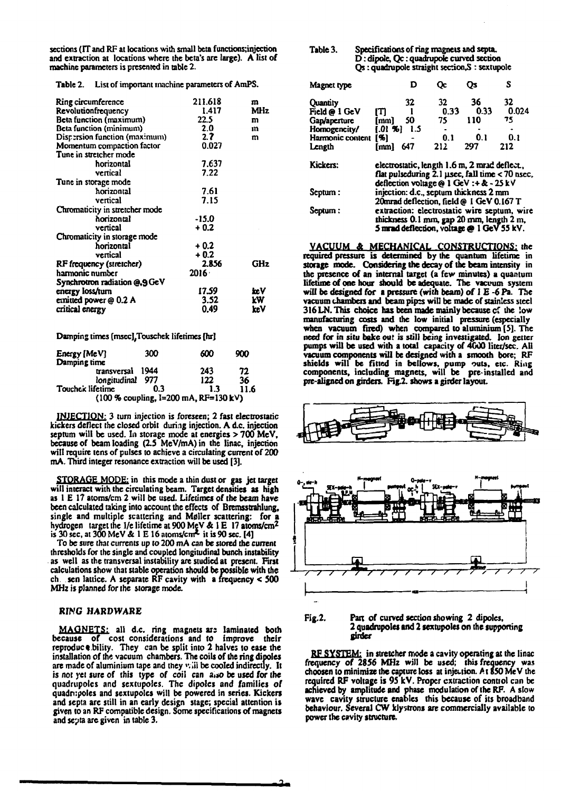sections (IT and RF at locations with small beta functions;injection **and extraction at locations where the beta's are large). A list of machine parameters is presented in table 2.** 

**Table 2. List of important machine parameters of AmPS.** 

| Ring circumference             | 211.618  | m   |
|--------------------------------|----------|-----|
| Revolutionfrequency            | 1.417    | MHz |
| Beta function (maximum)        | 22.5     | m   |
| Beta function (minimum)        | 2.0      | m   |
| Dispersion function (maximum)  | 2.7      | m   |
| Momentum compaction factor     | 0.027    |     |
| Tune in stretcher mode         |          |     |
| horizontal                     | 7.637    |     |
| vertical                       | 7.22     |     |
| Tune in storage mode           |          |     |
| horizontal                     | 7.61     |     |
| vertical                       | 7.15     |     |
| Chromaticity in stretcher mode |          |     |
| horizontal                     | -15.0    |     |
| vertical                       | $+0.2$   |     |
| Chromaticity in storage mode   |          |     |
| horizontal                     | $+0.2$   |     |
| vertical                       | $+0.2$   |     |
| RF frequency (stretcher)       | 2.856    | GHz |
| harmonic number                | $2016 -$ |     |
| Synchrotron radiation @,9 GeV  |          |     |
| energy loss/turn               | 17.59    | ic∀ |
|                                |          |     |
| emitted power @ 0.2 A          | 3.52     | kW  |
| critical energy                | 0.49     | keV |

**Damping times [msec],Touschek lifetimes [hr]** 

| Energy [MeV]<br>Damping time | 300   | 600                                     | 900  |
|------------------------------|-------|-----------------------------------------|------|
| transversal 1944             |       | 243                                     | 72   |
| longitudinal                 | - 977 | 122                                     | 36   |
| Touchek lifetime             | ብ 3   | 1.3                                     | 11.6 |
|                              |       | $(100 % coupling, l=200 mA, RF=130 kV)$ |      |

**INJECTION:** 3 turn injection is foreseen; 2 fast electrostatic **kickers deflect the closed orbit during injection. A d.c. injection septum will be used. In storage mode at energies > 700 McV, because of beam loading (2.5 MeV/mA)in the linac, injection will require tens of pulses to achieve a circulating current of 200 mA. Third integer resonance extraction will be used [3].** 

**STORAGE MODE: in this mode a thin dust or gas jet target will interact with the circulating beam. Target densities as high as 1 E 17 atoms/cm 2 will be used. Lifetimes of the beam have been calculated taking into account the effects of Bremsstrahlung, single and multiple scattering and M0ller scattering: for a hydrogen target the 1/e lifetime at 900 MeV & 1E 17 atoms/cm<sup>2</sup> is 30 sec, at 300 MeV** *&* **1 E 16 atoms/cm\*- it is 90 sec. [4]** 

**To be sure that currents up to 200 mA can be stored the current thresholds for the single and coupled longitudinal bunch instability as well as the transversal instability are studied at present. First calculations show that stable operation should be possible with the ch. sen lattice. A separate RF cavity with a frequency < 500 MHz is planned for the storage mode.** 

#### **RING HARDWARE**

**MAQNETS: all d.c. ring magnets ars laminated both because of cost considerations and to improve their**  reproduce bility. They can be split into 2 halves to ease the **installation of the vacuum chambers. The coils of the ring dipoles**  are made of aluminium tape and they will be cooled indirectly. It is not yet sure of this type of coil can also be used for the **quadrupolcs and sextupoies. The dipolcs and families of quadripoles and sextupoies will be powered in series. Kickers and septa are still in an early design stage; special attention is given to an RF compatible design. Some specifications of magnets and se?ta are given in table 3.** 

| Table 3. | Specifications of ring magnets and septa.      |
|----------|------------------------------------------------|
|          | D : dipole, Qc : quadrupole curved section     |
|          | Qs : quadrupole straight section.S : sextupole |

| Magnet type      |                  | D     | Оc                                                                                       | Оs   | S                                               |
|------------------|------------------|-------|------------------------------------------------------------------------------------------|------|-------------------------------------------------|
| <b>Quantity</b>  |                  | 32    | 32                                                                                       | 36   | 32.                                             |
| Field @ 1 GeV    | т                |       | 0.33                                                                                     | 0.33 | 0.024                                           |
| Gap/aperture     | [mm]             | 50    | 75                                                                                       | 110  | 75                                              |
| Homogeneity/     | [.01, %]         | - 1.5 |                                                                                          |      |                                                 |
| Harmonic content | [ <sub>5</sub> ] |       | 0.1                                                                                      | 0.1  | 0.1                                             |
| Length           | [mm]             | 647   | 212                                                                                      | 297  | 212                                             |
| Kickers:         |                  |       | electrostatic, length 1.6 m, 2 mrad deflect.,<br>deflection voltage @ 1 GeV :+ & - 25 kV |      | flat pulseduring 2.1 usec, fall time < 70 nsec, |
| Septum :         |                  |       | injection: d.c., septum thickness 2 mm<br>20mrad deflection, field @ I GeV 0.167 T       |      |                                                 |
| Septum :         |                  |       | thickness 0.1 mm, gap 20 mm, length 2 m,<br>5 mrad deflection, voltage @ 1 GeV 55 kV.    |      | extraction: electrostatic wire septum, wire     |

**VACUUM** *A* **MECHANICAL CONSTRUCTIONS: the required pressure is determined by the quantum lifetime in storage mode. Considering the decay of the beam intensity in the presence of an internal target (a few minutes) a quantum lifetime of one hour should be adequate. The vacuum system will be designed for a pressure (with beam) of 1 E -6 Pa. The vacuum chambers and beam pipts will be made of stainless steel 316 LN. This choice has been made mainly because cf the low manufacturing costs and the low initial pressure (especially when vacuum fired) when compared to aluminium [5]. The need for in situ bake out is still being investigated. Ion getter pumps will be used with a total capacity of 4000 liter/sec. All vacuum components will be designed with a smooth bore; RF shields will be fitted in bellows, pump outs, etc. Ring components, including magnets, will be pre-installed and**  pre-aligned on girders. Fig.2. shows a girder layout.



**Fig.2. Pan of curved section showing 2 dipoles, 2 quadrupoles and 2 sextupoies on the supporting girder** 

**RF SYSTEM: in stretcher mode a cavity operating at the linac frequency of 2856 MHz will be used; ibis frequency was choosen to minimize the capture loss at injection. A1850 MeV the required RF voltage is 95 kV. Proper extraction contiol can be achieved by amplitude and phase modulation of the RF. A slow wave cavity structure enables this because of its broadband behaviour. Several CW klystrons are commercially available to power the cavity structure.**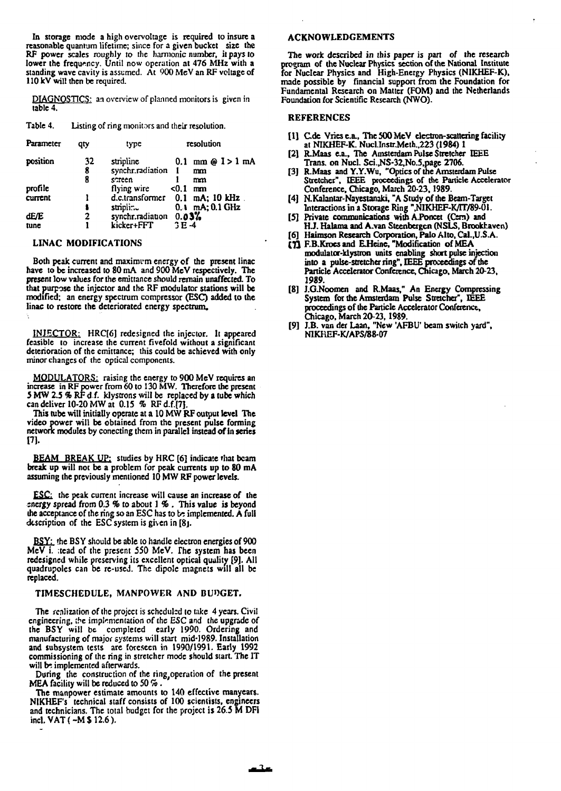**In storage mode a high overvoltage is required to insure a reasonable quantum lifetime; since for a given bucket size the RF power scales roughly to the harmonic number, it pays to lower the frequency. Until now operation at 476 MHz with a standing wave cavity is assumed. At 900 MeV an RF voltage of 110 kV will then be required.** 

**DIAGNOSTICS: an overview of planned monitors is given in table 4.** 

**Table 4. Listing of ring monitors and their resolution.** 

| Parameter                 | qty          | type                                    | resolution                                                              |
|---------------------------|--------------|-----------------------------------------|-------------------------------------------------------------------------|
| position                  | 32<br>8<br>8 | stripline<br>synchr.radiation<br>streen | $0.1 \, \text{mm} \odot 1 > 1 \, \text{mA}$<br>$\mathbf{1}$<br>mm<br>mm |
| profile<br><b>current</b> |              | flying wire<br>stripling                | < 0.1<br>mm<br>d.c.transformer 0.1 mA; 10 kHz.<br>$0.1$ mA; $0.1$ GHz   |
| dE/E<br>tune              | 2            | synchr.radiation<br>kicker+FFT          | 0.03%<br>$3E-4$                                                         |

## **LINAC MODIFICATIONS**

Both peak current and maximum energy of the present linac **have to be increased to 80 mA and 900 MeV respectively. The present low values for the emittance should remain unaffected. To that purpose the injector and the RF modulator stations will be modified; an energy spectrum compressor (ESC) added to the linac to restore the deteriorated energy spectrum.** 

**INJECTOR: HRC[6] redesigned the injector. It appeared feasible to increase the current fivefold without a significant deterioration of the emittance; this could be achieved with only minor changes of the optical components.** 

**MODULATORS: raising the energy to 900 MeV requires an increase in RF power from 60 to 130 MW. Therefore the present 5 MW 2.5 % RF d f. klystrons will be replaced by a tube which can deliver 10-20 MW at 0.15 % RFd.f.(7J.** 

**This tube will initially operate at a 10 MW RF output level The video power will be obtained from the present pulse forming network modules by conecting them in parallel instead of in series [7].** 

**BEAM BREAK UP: studies by HRC [6] indicate that beam break up will not be a problem for peak currents up to 80 mA assuming (he previously mentioned 10 MW RF power levels.** 

**£S£i the peak current increase will cause an increase of the energy spread from 0.3 % to about 1 % . This value is beyond**  the acceptance of the ring so an ESC has to be implemented. A full **description of the ESC system is given in [8j.** 

**BSY: the BSY should be able to handle electron energies of 900 MeV i. ;tead of the present 550 MeV. The system has been redesigned while preserving its excellent optical quality [9]. All quadrupoles can be re-used. The dipolc magnets will all be replaced.** 

#### **TIMESCHEDULE, MANPOWER AND BUDGET.**

**The renlization of the project is scheduled to take 4 years. Civil engineering, the implementation of the ESC and the upgrade of the BSY will be completed early 1990. Ordering and manufacturing of major systems will start mid-1989. Installation and subsystem tests are foreseen in 1990/1991. Early 1992 commissioning of the ring in stretcher mode should start. The IT**  will be implemented afterwards.

During the construction of the ring operation of the present **MEA facility will be reduced to 50 %.** 

**The manpower estimate amounts to 140 effective manyears. NIKHEF's technical staff consists of 100 scientists, engineers and technicians. The total budget for the project is 26.5 M DFl incl. VAT (~M\$ 12.6).** 

**ACKNOWLEDGEMENTS** 

**The work described in this paper is part of the research program of the Nuclear Physics section of the National Institute for Nuclear Physics and High-Energy Physics (NIKHEF-K), made possible by financial support from the Foundation for Fundamental Research on Matter (FOM) and the Netherlands Foundation for Scientific Research (NWO).** 

#### **REFERENCES**

- **[1] Cde Vries ca., The 500 MeV electron-scattering facility at NIKHEF-K. Nucl.Instr.Meth.,223 (1984) 1**
- **[2] R.Maas e.a.. The Amsterdam Pulse Stretcher IEEE Trans, on Nucl. Sci.,NS-32,No.5.page 2706.**
- **[3] R.Maas andY.Y.Wu, "Optics of the Amsterdam Pulse Stretcher'\*, IEEE proceedings of the Particle Accelerator Conference, Chicago, March 20-23,1989.**
- **[4] N.Kalantar-Nayestanaki, "A Study of the Beam-Target**  Interactions in a Storage Ring ",NIKHEF-K/IT/89-01.
- **[5] Private communications withA.Poncet (Cem) and**
- **HJ. Halama and A.van Steenbergen (NSLS, Brookhaven) [6] Haimson Research Corporation, Palo Alto, Cal.,U.S.A.**
- **(11 F.B.Krocsand EHeine, "Modification of MEA modulator-klystron units enabling short pulse injection into a pulse-stretcher ring", IEEE proceedings of the Particle Accelerator Conference, Chicago, March 20-23, 1989.**
- **[8] J.G.Noomen and R.Maas," An Energy Compressing System for the Amsterdam Pulse Stretcher", IEEE proceedings of (he Particle Accelerator Conference, Chicago, March 20-23,1989.**
- **[9] J.B. van der Laan, "New 'AFBU' beam switch yard", N1KHEF-K/APS/88-07**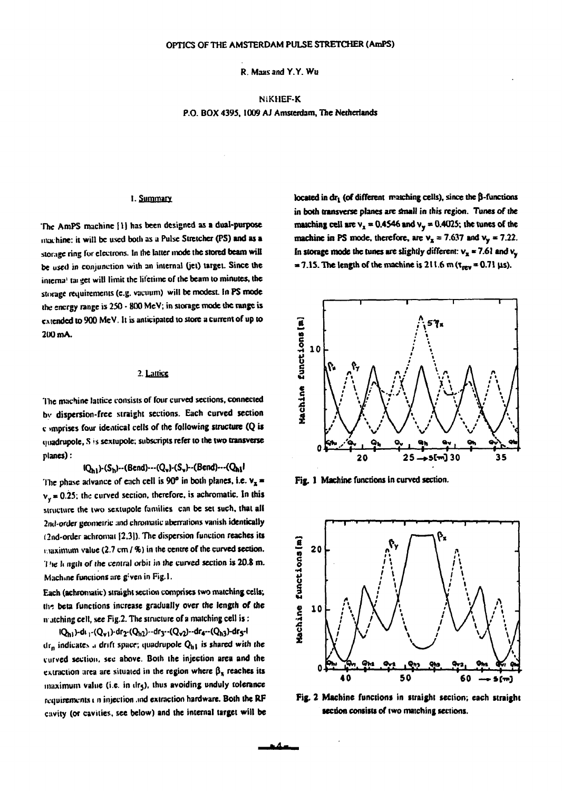**R. Maas and Y.Y.Wu** 

# **N1KHEF-K P.O. BOX 4393,1009 AJ Amsterdam, The Netherlands**

# 1. Summary

**The AmPS machine [IJ has been designed as a dual-purpose machine: it will be used both as a Pulse Stretcher (PS) and as a storage ring for electrons. In the latter mode the stored beam will be used in conjunction with an internal (jet) target. Since the interna' tai get will limit the lifetime of the beam to minutes, the storage requirements (e.g. vacuum) will be modest. In PS mode the energy range is 250 - 800 MeV; in storage mode die range is extended to 900 MeV. It is anticipated to store a current of up to 200 mA.** 

# **2. Lattice**

The machine lattice consists of four curved sections, connected **bv dispersion-free straight sections. Each curved section c >mprises four identical cells of (he following structure (Q is quadrupole, S is sextupole; subscripts refer to the two transverse planes):** 

**•Qhi)-(Sh)"(Bend)-(Q¥MS¥)-(Bend)-(Oj"l** 

The phase advance of each cell is  $90^\circ$  in both planes, i.e.  $v_x$ **vy = 0.25. the curved section, therefore, is achromatic. In this structure the two sextupole families can be set such, that all 2ml'Order geometric and chromatic aberrations vanish identically (2nd-order achromat [2,31). The dispersion function reaches its r.iaximum value (2.7 cm / %) in the centre of the curved section. T'ie li ngih** *of* **(he central orbit in the curved section is 20.8 m. Machine functions are g: ven in Fig-1.** 

**Each (achromatic) straight section comprises two matching cells; tlr, beta functions increase gradually over the length of the iv.itching cell, see Fig.2. The structure of a matching cell is:** 

**iQhi H» |-(Qvi)-dr2-(Qh2)-drr-(Q¥2)"dr4»(QM)-dr5-l ilrn indicates .i drift space; quadrupofe Qh| is shared with the curved section, sec above. Doth the injection area and the**  extraction area are situated in the region where  $\beta_{\overline{x}}$  reaches its **maximum value (i.e. in ilrj), thus avoiding unduly tolerance requirements t n injection md extraction hardware. Both the RF cavity (or cavities, see below) and the internal target will be** 

**located in dr<sub>1</sub> (of different matching cells), since the**  $\beta$ **-functions in both transverse planes are small in this region. Tunes of the matching cell are**  $v_x = 0.4546$  **and**  $v_y = 0.4025$ **; the tunes of the machine in PS mode, therefore, are**  $v_x = 7.637$  **and**  $v_y = 7.22$ **.** In storage mode the tunes are slightly different:  $v_x$  = 7.61 and  $v_y$  $= 7.15$ . The length of the machine is 211.6 m ( $\tau_{rev} = 0.71 \,\mu s$ ).



Fig. 1 Machine functions in curved section.



**Fig. 2 Machine functions in straight section; each straight section consists of two matching sections.**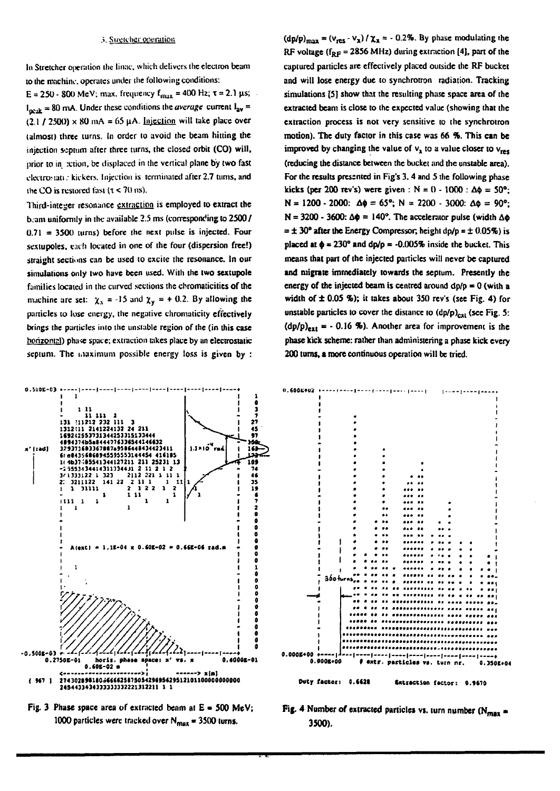**In Stretcher operation the linac. which delivers the electron beam to the machine, operates under the following conditions:** 

 $E = 250 - 800$  MeV; max. frequency  $f_{max} = 400$  Hz;  $\tau = 2.1$   $\mu$ s;  $I_{\text{neak}} = 80$  mA. Under these conditions the *average* current  $I_{\text{av}} =$  $(2.1 / 2500) \times 80$  mA = 65 µA. Injection will take place over **Utmost) three turns. In order to avoid the beam hitting the injection septum after three turns, the closed orbit (CO) will, prior to in xtion, be displaced in the vertical plane by two fast clectroMuti.' kickers. Injection is terminated after 2.7 turns, and**  the CO is restored fast  $(\tau < 70 \text{ ns})$ .

**Iliird-integer resonance extraction is employed to extract the b.am uniformly in the available 2.5 ms (corresponding to 2500 / 0.71 = 3500 turns) before the next pulse is injected. Four**  sextupoles, each located in one of the four (dispersion free!) **straight sections can be used to excite the resonance. In our**  simulations only two have been used. With the two sextupole **families located in the curved sections the chromaticities of the**  machine are set:  $\chi_x = -15$  and  $\chi_y = +0.2$ . By allowing the **particles to lose energy, the negative chromaticity effectively brings the particles into ilie unstable region of the (in this case horizontal) phase space; extraction takes place by an electrostatic**  septum. The maximum possible energy loss is given by :

 $(\text{dp}/\text{p})_{\text{max}} = (v_{\text{res}} \cdot v_{\text{x}}) / \chi_{\text{x}} = -0.2\%$ . By phase modulating the **RF voltage (IRF = 2856 MHz) during extraction [4], pan of the captured particles are effectively placed outside the RF bucket and will lose energy due to synchrotron radiation. Tracking simulations [5] show that the resulting phase space area of the extracted beam is close to the expected value (showing that the extraction process is not very sensitive to the synchrotron motion). The duty factor in this case was 66 %. This can be improved by changing the value of**  $v_x$  **to a value closer to**  $v_{res}$ **(reducing the distance between the bucket and the unstable area). For the results presented in Fig's 3. 4 and 5 the following phase kicks (per 200 rev's) were given :**  $N = 0 - 1000$  **:**  $\Delta\phi = 50^{\circ}$ **;**  $N = 1200 - 2000$ :  $\Delta\phi = 65^\circ$ ;  $N = 2200 - 3000$ :  $\Delta\phi = 90^\circ$ ;  $N = 3200 - 3600$ :  $\Delta \phi = 140^\circ$ . The accelerator pulse (width  $\Delta \phi$ **= ± 30° after the Energy Compressor, height dp/p = ± 0.05%) is placed at**  $\phi = 230^\circ$  **and dp/p = -0.005% inside the bucket. This means that part of the injected panicles will never be captured and migrate immediately towards the septum. Presently the**  energy of the injected beam is centred around  $dp/p = 0$  (with a **width of ± 0.05 %); it takes about 350 rev's (see Fig. 4) for unstable particles to cover the distance to**  $(dp/p)_{q-1}$  **(see Fig. 5:**  $(dp/p)_{ext} = -0.16$  %). Another area for improvement is the **phase kick scheme: rather than administering a phase kick every 200 turns, a more continuous operation will be tried.** 





**Fig. 4 Number of extracted particles vs. turn number (N<sub>max</sub> 3500).**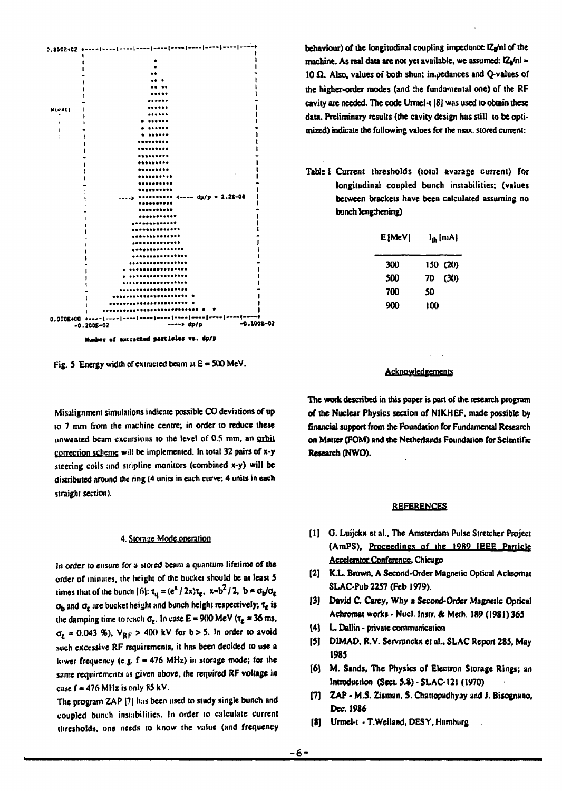

**Fig. 5 Energy width of extracted beam si E = 500 MeV.** 

**Misalignment simulations indicate possible CO deviations of up to 7 mm from the machine centre; in order to reduce these unwanted beam excursions to the level of 0.5 mm, an orbit correction scheme will be implemented. In total 32 pairs of x-y .steering coils and stripline monitors (combined x-y) will be distributed around the ring (4 units in each curve; 4 units in each straight section).** 

#### **4. Storage Mode operation**

**In order to ensure for a stored beam a quantum lifetime of the order of minutes, (he height of (he bucket should be at least 5 times that of the bunch**  ${6}$ **:**  $\tau_q = (e^x / 2x)\tau_q$ **,**  $x=b^2 / 2$ **,**  $b = \sigma_b / \sigma_g$ **o <sup>b</sup> and** *a<sup>t</sup>*  **are bucket height and bunch height respectively; t, is the damping time to reach o<sup>t</sup> . In case E \* 900 MeV (te » 36 ms,**   $\sigma_{\ell}$  = 0.043 %),  $V_{RF}$  > 400 kV for b > 5. In order to avoid such excessive RF requirements, it has been decided to use a lower frequency (e.g. f = 476 MHz) in storage mode; for the same requirements as given above, the required RF voltage in case  $f = 476$  MHz is only 85 kV.

The program ZAP [7] has been used to study single bunch and **coupled bunch instabilities. In order to calculate current thresholds, one needs to know the value (and frequency** 

**behaviour) of the longitudinal coupling impedance**  $Z_y/n$  **of the machine. As real data are not yet available, we assumed: IZ**/nl = **10 £1. Also, values of both shun: impedances and Q-values of the higher-order modes (and :he fundamental one) of the RF cavity are needed. The code Urmel-t [8j was used to obtain these data. Preliminary results (the cavity design has still to be optimized) indicate the following values for the max. stored current:** 

**Table 1 Current thresholds (total avarage current) for longitudinal coupled bunch instabilities; (values between brackets have been calculated assuming no bunch Ieng:hening)** 

| E [MeV] |     | l <sub>ih</sub> [mA] |
|---------|-----|----------------------|
| 300     |     | 150 (20)             |
| 500     | 70  | (30)                 |
| 700     | 50  |                      |
| 900     | 100 |                      |

#### **Acknowledgements**

**The work described in this paper is part of the research program of the Nuclear Physics section of NIKHEF, made possible by financial support from die Foundation for Fundamental Research on Matter (FOM) and the Netherlands Foundation for Scientific Research (NWO).** 

#### **REFERENCES**

- **[I] G. Luijckx et a!., The Amsterdam Pulse Stretcher Project (AmPS), Proceedings of the IP89 IEEE Particle Accelerator Conference. Chicago**
- **[2] K.L. Brown, A Second-Order Magnetic Optical Achromat SLAC-Pub 2257 (Feb 1979).**
- **[3J David C. Carey, Why a Second-Order Magnetic Optical Achromat works - Nucl. Instr. & Meth. 189 (1981) 365**
- **[4] L. Dallin private communication**
- [5] DIMAD, R.V. Servranckx et al., SLAC Report 285, May **1985**
- **[6] M. Sands, The Physics of Electron Storage Rings; an Introduction (Sect. 5.8) - SLAC-121 (1970)**
- **(7] ZAP M.S. Zisman, S. Chattopadhyay and** *i.* **Bisognano, Dec. 1986**
- **[8] Urmel-t T.Weiland, DESY, Hamburg**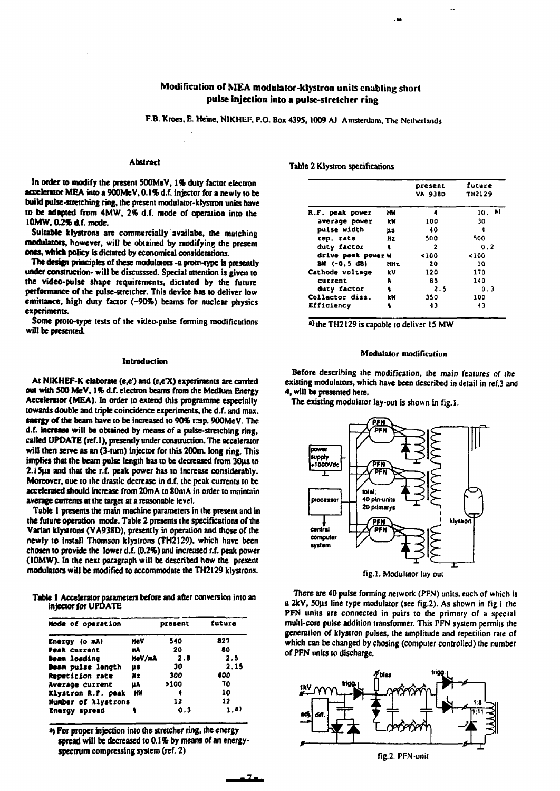# **Modification of MEA modulator-klystron units enabling short pulse injection into a pulse-stretcher ring**

**F.B. Kroes, E. Heine, NIKHEF, P.O. Box 4395,1009 AJ Amsterdam, The Netherlands** 

# **Abstract**

**In order to modify the present SOOMeV, 1% duty factor electron accelerator MEA into a 900MeV. 0.1% d.f. injector for a newly to be build pulse-stretching ring, the present modulator-klystron units have to be adapted from 4MW, 2% d.f. mode of operation into the 10MW, 0.2% d.f. mode.** 

**Suitable klystrons are commercially availabe, the matching modulators, however, will be obtained by modifying the present ones, which policy is dictated by economical considerations.** 

**The design principles of these modulators -a proto-type is presently under construction- will be discusssed. Special attention is given to the video-pulse shape requirements, dictated by the future performance of the pulse-stretcher. This device has to deliver low emittance, high duty factor (-90%) beams for nuclear physics experiments.** 

**Some proto-type tests of the video-pulse forming modifications will be presented.** 

#### **Introduction**

**At NIKHEF-K elaborate (e,e') and (e,e'X) experiments are carried out with 500 MeV, 1% d.f. electron beams from the Medium Energy Accelerator (MEA). In order to extend this programme especially towards double and triple coincidence experiments, the d.f. and max. energy of the beam have to be increased to 90% rcsp. 900MeV. The d.f. increase will be obtained by means of a pulse-stretching ring, called UPDATE (ref.l), presently under construction. The accelerator will then serve as an (3-tum) injector for this 200m. long ring. This**  implies that the beam pulse length has to be decreased from 30us to **2.15ns and that the r.f. peak power has to increase considerably. Moreover, oue to the drastic decrease in d.f. the peak currents to be accelerated should increase from 20mA to 80mA in order to maintain average currents at the target at a reasonable level.** 

**Table 1 presents the main machine parameters in the present and in the future operation mode. Table 2 presents the specifications of the Varian klystrons (VA938D), presently in operation and those of the newly to install Thomson klystrons (TH2129), which have been chosen to provide the lower d.f. (0.2%) and increased r.f. peak power (10MW). In the next paragraph will be described how the present modulators will be modified to accommodate the TH2129 klystrons.** 

**Table 1 Accelerator parameten before and after conversion into an injector for UPDATE** 

| Mode of operation   |            | present | future |
|---------------------|------------|---------|--------|
| Energy (o mA)       | <b>MaV</b> | 540     | 827    |
| Peak current        | mA.        | 20      | 80     |
| Deam loading        | MeV/mA     | 2.8     | 2.5    |
| Beam pulse length   | us         | 30      | 2.15   |
| Repetition rate     | Иz         | 300     | 400    |
| Average current     | μA         | >100    | 70     |
| Klystron R.F. peak  | ИW         |         | 10     |
| Number of klystrons |            | 12      | 12     |
| Energy spread       |            | 0.3     | 1.D)   |

**>) For proper injection into the stretcher ring, the energy spread will be decreased to 0.1% by means of an energyspectrum compressing system (ref. 2)** 

**Table 2 Klystron specifications** 

|                    |      | present<br><b>VA 938D</b> | future<br>TH2129 |
|--------------------|------|---------------------------|------------------|
| R.F. peak power    | нw   |                           | 10.9             |
| average power      | kΜ   | 100                       | 30               |
| pulse width        | us.  | 40                        | 4                |
| rep. rate          | Hz   | 500                       | 500              |
| duty factor        | 1    | 2                         | 0.2              |
| drive peak power W |      | <100                      | <100             |
| BW (-0.5 dB)       | HH z | 20                        | 10               |
| Cathode voltage    | kV   | 120                       | 170              |
| current            | A    | 85                        | 140              |
| duty factor        | ۹    | 2.5                       | 0.3              |
| Collector diss.    | kW   | 350                       | 100              |
| Efficiency         | ۹    | 43                        | 43               |

a) the TH2129 is capable to deliver 15 MW

#### **Modulator modification**

**Before describing the modification, the main features of the existing modulators, which have been described in detail in ref.3 and 4, will be presented here.** 

**The existing modulator lay-out is shown in fig.1.** 



**There are 40 pulse forming network (PFN) units, each of which is a 2kV, 50ns line type modulator (see fig.2). As shown in fig.l the PFN units are connected in pairs to the primary of a special multi-core pulse addition transformer. This PFN system permits the generation of klystron pulses, the amplitude and repetition rate of which can be changed by chosing (computer controlled) the number of PFN units to discharge.** 



**fig.2. PFN-unil**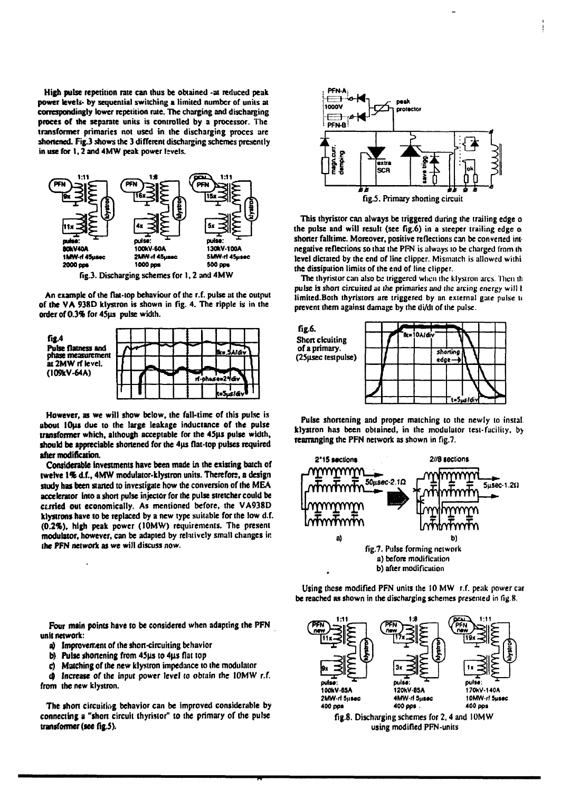**High pulse repetition rate can thus be obtained -at reduced peak power levels- by sequential switching a limited number of units at correspondingly lower repetition rate. The charging and discharging proces of the separate units is controlled by a processor. The transformer primaries not used in the discharging proces are shortened. Fig.3 shows the 3 different discharging schemes presently in use for 1,2 and 4MW peak power levels.** 



**An example of the flat-top behaviour of the r.f. pulse at the output of the V A 938D klystron is shown in fig. 4. The ripple is in the order of 0.3% for 45us pulse width.** 



**However, as we will show below, the fall-time of this pulse is about lOus due to the large leakage inductance of the pulse transformer which, although acceptable for the 45jis pulse width, should be appreciable shortened for the 4us flat-top pulses required after modification.** 

**Considerable investments have been made in the existing batch of twelve 1% d.f., 4MW modulator-klystron units. Therefore, a design study has been started to investigate how the conversion of the MEA accelerator into a short pulse injector for the pulse stretcher could be curled out economically. As mentioned before, the VA938D klystrons have to be replaced by a new type suitable for the low d.f. (0.2%), high peak power (10MW) requirements. The present modulator, however, can be adapted by relatively small changes in the PFN network as we will discuss now.** 

**Four main points have to be considered when adapting the PFN unit network:** 

- **a) Improvement of the short-circuiting behavior**
- b) Pulse shortening from 45µs to 4µs flat top
- **c) Matching of the new klystron impedance to the modulator**

**d) Increase of the input power level to obtain the 10MW r.f. from the new klystron.** 

**The short circuiting behavior can be improved considerable by connecting a "short circuit thyristor" to the primary of the pulse transformer (see fig.5).** 



**This thyristor can always be triggered during the trailing edge o the pulse and will result (see fig.6) in a steeper trailing edge o shorter falltime. Moreover, positive reflections can be convened int negative reflections so that the PFN is always to be charged from ih level dictated by the end of line clipper. Mismatch is allowed wiihi the dissipation limits of the end of line clipper.** 

The thyristor can also be triggered when the klystron arcs. Then th **pulse is short circuited at the primaries and die arcing energy will t**  limited.Both thyristors are triggered by an external gate pulse to **prevent them against damage by the di/dt of the pulse.** 



**Pulse shortening and proper matching to the newly to instal. klystron has been obtained, in the modulator test-facility, by rearranging the PFN network as shown in fig.7.** 



**Using these modified PFN units the 10 MW r.f. peak power car be reached as shown in the discharging schemes presented in fig 8.** 

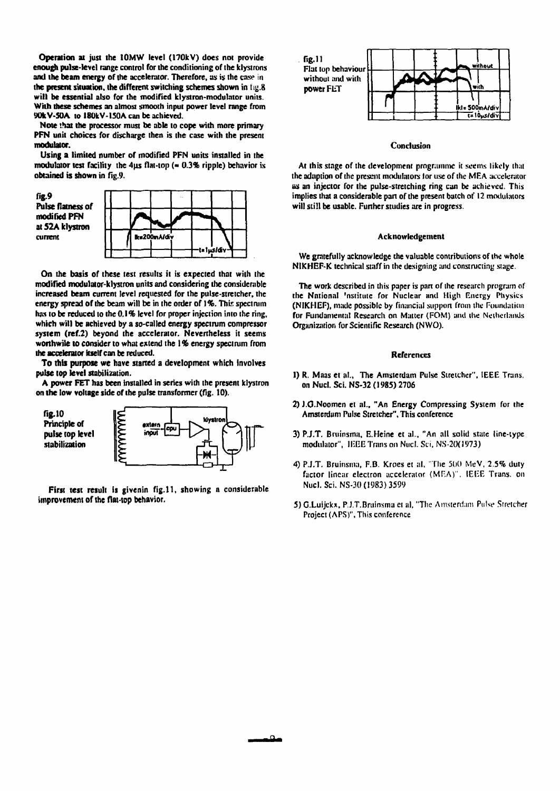**Operation at just the 10MW level (170kV) does not provide enough pulse-level range control for the conditioning of the klystrons and the beam energy of the accelerator. Therefore, as is the case in**  the present situation, the different switching schemes shown in fig.8 **will be essential also for the modified klystron-modulator units. With these schemes an almost smooth input power level range from 90kV-50A to l80kV-150A can be achieved.** 

**Note that the processor must be able to cope with more primary PFN unit choices for discharge then is the case with the present modulator.** 

**Using a limited number of modified PFN units installed in the modulator test facility the 4us flat-top (» 0.3% ripple) behavior is obtained is shown in fig.9.** 



**On the basis of these test results it is expected that with the modified modulator-klystron units and considering the considerable increased beam current level requested for the pulse-stretcher, the energy spread of the beam will be in the order of 1%. This spectrum has to be reduced to the 0.1 % level for proper injection into the ring, which will be achieved by a so-called energy spectrum compressor system (ref.2) beyond the accelerator. Nevertheless it seems worthwile to consider to what extend the 1 % energy spectrum from the accelerator itself can be reduced.** 

**To this purpose we have started a development which involves pulse top level stabilization.** 

**A power FET has been installed in series with the present klystron on the low voltage side of the pulse transformer (fig. 10).** 



**First test result is givenin fig.ll, showing a considerable improvement of the flat-top behavior.** 



#### **Conclusion**

**At this stage of the development programme it seems likely that the adaption of the present modulators tor use of the MF.A accelerator as an injector for the pulse-stretching ring can be achieved. This implies that a considerable part of the present batch ot' 12 modulators will still be usable. Further studies are in progress.** 

#### **Acknowledgement**

**We gratefully acknowledge the valuable contributions of the whole NIKHEF-K technical staff in the designing and constructing stage.** 

**The work described in this paper is part of the research program ot' the National 'nstitutc for Nuclear and High Energy Physics (NIKHEF), made possible by financial support from the Foundation for Fundamental Research on Matter (FOM) and the Netherlands Organization for Scientific Research (NWO).** 

#### **References**

- **1) R. Maas et al., The Amsterdam Pulse Stretcher", IEEE Trans, on Nucl. Sci. NS-32 (1985) 2706**
- **2) J.O.Noomen et al., "An Energy Compressing System for the Amsterdum Pulse Stretcher", This conference**
- **3) PJ.T. Bruinsma, E.Heine et al., "An all solid state line-type**  modulator", IEEE Trans on Nucl. Sci, NS-20(1973)
- **4) P.J.T. Bruinsma, F.B. Kroes et al, "The 500 MeV, 2.5% duty factor linear electron accelerator (MF.A)", IEEE Trans, on Nucl. Sci. NS-30 (1983) 3599**
- **5) G.Luijckx, P.J.T.Bruinsma et al, "The Amsterdam Pulse Stretcher Project (APS)", This conference**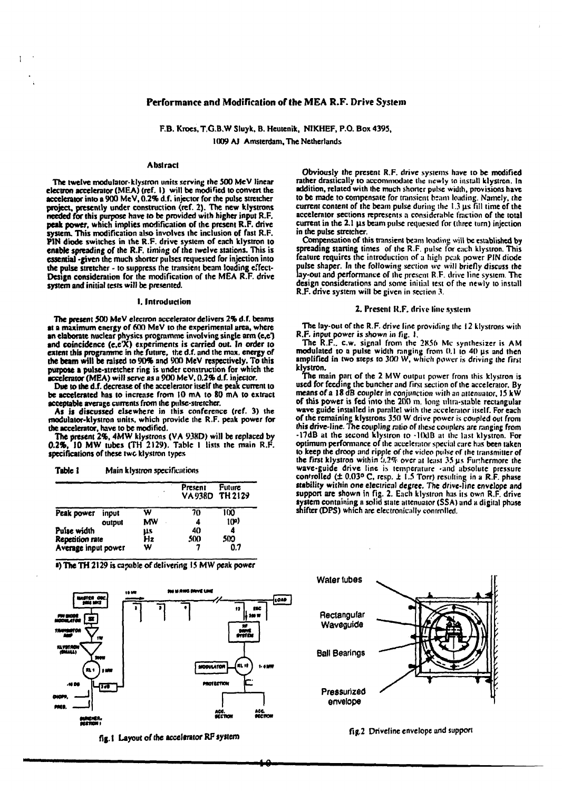#### **Performance and Modification of the MEA R.F. Drive System**

**F.B. Kroes, T.G.B.W Sluyk, B. Heutenik, NIKHEF, P.O. Box 4395, 1009 AJ Amsterdam, The Netherlands** 

#### **Abstract**

Ť.

**The twelve modulator-klystron units serving the 500 McV linear electron accelerator (MEA) (ref. I) will be modified to convert the accelerator into a 900 MeV, 0.2% d.f. injector for the pulse stretcher project, presently under construction (ref. 2). The new klystrons needed for this purpose have to be provided with higher input R.F. peak power, which implies modification of the present R.F. drive system. This modification also involves the inclusion of fast R.F. PIN diode switches in the R.F. drive system of each klystron to enable spreading of the R.F. timing of the twelve stations. This is essential -given the much shorter pulses requested for injection into the pulse stretcher - to suppress the transient beam loading effect-Design consideration for the modification of the MEA R.F. drive system and initial tests will be presented.** 

#### **I. Introduction**

**The present 500 MeV electron accelerator delivers 2% d.f. beams at a maximum energy of 600 MeV to the experimental area, where an elaborate nuclear physics programme involving single arm (e.e") and coincidence (e.e'X) experiments is carried out. In order to extent this programme in the future, the d.f. and the max. energy of the beam will be raised to 90% and 900 MeV respectively. To this purpose a pulse-stretcher ring is under construction for which the accelerator (MEA) will serve as** *a* **900 MeV, 0.2% d.f. injector.** 

**Due to the d.f. decrease of the accelerator itself the peak current to be accelerated has to increase from 10 mA to 80 mA to extract acceptable average currents from the pulse-stretcher.** 

**As is discussed elsewhere in this conference (ref. 3) the modulator-klystron units, which provide the R.F. peak power for the accelerator, have to be modified.** 

**The present 2%, 4MW klystrons (VA 938D) will be replaced by 0.2%. 10 MW tubes (TH 2129). Table I lists the main R.F. specifications of these two klystron types** 

| Table 1 |  | Main klystron specifications |
|---------|--|------------------------------|
|---------|--|------------------------------|

|                        |        |           | Present | <b>Future</b><br>VA938D TH 2129 |
|------------------------|--------|-----------|---------|---------------------------------|
| Peak power             | input  | w         | 70      | 100                             |
|                        | output | <b>MW</b> | 4       | 10 <sup>m)</sup>                |
| Pulse width            |        |           | 40      | 4                               |
| <b>Repetition rate</b> |        | μs<br>Hz  | 500     | 500                             |
| Average input power    |        | w         |         | 0.7                             |

**•) The TH 2129 is capable of delivering 15 MW peak power** 



**fig. I Layout of the accelerator RF system** 

**Obviously the present R.F. drive systems have to be modified rather drastically to accommodate the newly IO install klystron. In addition, related with the much shorter pulse width, provisions have to be made to compensate for transient beam loading. Namely, the current content of the beam pulse during the 1.3 us fill time of the accelerator sections represents a considerable traction of the total**  current in the 2.1  $\mu$ s beam pulse requested for (three turn) injection **in the pulse stretcher.** 

**Compensation of this transient beam loading will be established by spreading starting times of the R.F. pulse for each klystron. This feature requires the introduction of ;i high peak power PIN diode pulse shaper. In the following section we will briefly discuss the lay-out and performance of the present R.F. drive line system. The design considerations and some initial test of the newly to install R.F. drive system will be given in section 3.** 

#### **2. Present R.F. drive line svslcm**

**The lay-out of the R.F. drive line providing the 12 klystrons with R.F. input power is shown in fig. I.** 

**The R.F.. c.w. signal from the 2856 Mc synthesizer is AM modulated to a pulse width ranging from 0.1 to 40 us and then amplified in two steps to 300 W, which power is driving the first klystron.** 

**The main pan of the 2 MW output power from this klystron is used for feeding the buncher and first section of the accelerator. By means of a 18 dB coupler in conjunction with an attenuator, 15 kW of this power is fed into the 200 m. long ultra-stable rectangular wave guide installed in parallel with die accelerator itself. For each of the remaining klystrons 350 W drive power is coupled out from this drive-line. The coupling ratio of these couplers are ranging from -17dB at the second klystron to -HklB at the last klystron. For optimum performance of the accelerator special care has been taken to keep the droop and ripple of the video pulse of the transmitter of the first klystron within Jj.2% over ;it least 35 us Furthermore the wave-guide drive line is temperature -and absolute pressure controlled (± 0.03° C, resp.** *t* **1.5 Torr) resulting in a R.F. phase «ability within one electrical degree. The drive-line envelope and support are shown in fig. 2. Each klystron has its own R.F. drive system containing a solid state attenuator (SSA) and a digital phase snifter (DPS) which are electronically controlled.** 



**ftg.2 Driveline envelope and support**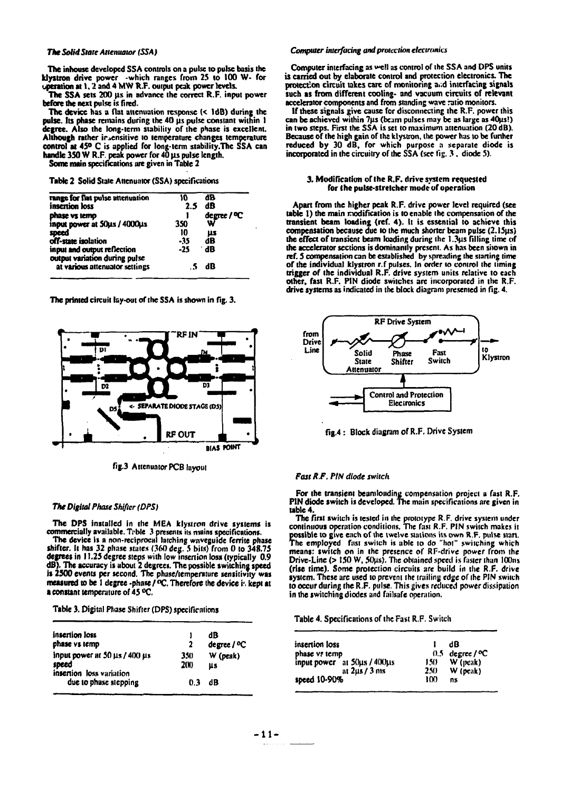**The inhouse developed SSA controls on a pulse to pulse basis the klystron drive power -which ranges From 25 to 100 W- for operation at 1.2 and 4 MW R.F. output peak power levels.** 

**The SSA sets 200 µs in advance the correct R.F. input power before the next pulse is fired.** 

**The device has a flat attenuation response (< IdB) during the**  pulse. Its phase remains during the 40 µs pulse constant within 1 **degree. Also the long-term stability of the phase is excellent. Although rather insensitive to temperature changes temperature control at 45° C is applied for long-term stability/The SSA can**  handle 350 W R.F. peak power for 40 us pulse length.

**Some main specifications are given in Table 2** 

**Table 2 Solid State Attenuator (SSA) specifications** 

| range for flat pulse attenuation<br>insertion loss           | 10<br>2.5 | 88<br>dB                |
|--------------------------------------------------------------|-----------|-------------------------|
| phase vs temp                                                |           | degree / <sup>o</sup> C |
| input power at 50µs / 4000µs                                 | 350       | w                       |
| speed                                                        | 10        | μs                      |
| off-state isolation                                          | -35       | dB                      |
| input and output reflection<br>output variation during pulse | -25       | ∸dB                     |
| at various attenuator settings                               |           | dB                      |

**The printed circuit lay-out of the SSA is shown in fig. 3.** 



**fig.3 Attenuator PCB layout** 

#### *The Digital Phase Shifter (DPS)*

**The DPS installed in the MEA klystron drive systems is commercially available. Tvble 3 presents its mains specifications.** 

**The device is a non-reciprocal hitching waveguide ferrite phase shifter. It has 32 phase states (360 dec. 5 bits) from 0 to 348.75 degrees in 11.25 degree steps with low insertion loss (typically 0.9 dB). The accuracy is about 2 degrees. The possible switching speed is 2500 events per second. The phase/temperature sensitivity was measured to be 1 degree -phase / °C. Therefore the device i', kept at a constant temperature of 45 °C.** 

**Table 3. Digital Phase Shifter (DPS) specifications** 

| insertion loss                                                             |                   | dB               |
|----------------------------------------------------------------------------|-------------------|------------------|
| phase vs temp                                                              | 2                 | degree / °C      |
| input power at $50 \mu s / 400 \mu s$<br>speed<br>insertion loss variation | 350<br><b>200</b> | $W$ (peak)<br>us |
| due to phase stepping                                                      | 0.3               | dB               |

## *The Solid State Attenuator (SSA) Computer interfacing and protection electronics*

**Computer interfacing as veil as control of the SSA and DPS units is carried out by elaborate control and protection electronics. The protection circuit takes care of monitoring aid interfacing signals such as from different cooling- and vacuum circuits of relevant accelerator components and from standing wave ratio monitors.** 

**If these signals give cause for disconnecting the R.F. power this**  can be achieved within 7us (beam pulses may be as large as 40us!) **in two steps. First the SSA is set to maximum attenuation (20 dB). Because of the high gain of the klystron, the power has to be further reduced by 30 dB, for which purpose a separate diode is incorporated in the circuitry of the SSA (see tig. 3 . diode 5).** 

#### **3. Modification of the R.F. drive system requested for the pulse-stretcher mode of operation**

**Apart from the higher peak R.F. drive power level required (see table 1) the main modification is to enable the compensation of the transient beam loading (ref. 4). It is essential to achieve this compensation because due to the much shorter beam pulse (2.15µs) the effect of transient beam loading during the 1.3ns filling time of the accelerator sections is dominantly present. As has been shown in ref. 5 compensation can be established by spreading the starting time of the individual klystron r.f pulses. In order to control the timing trigger of the individual R.F. drive system units relative to each other, fast R.F. PIN diode switches are incorporated in the R.F. drive systems as indicated in the block diagram presented in fig. 4.** 



**fig.4: Block diagram of R.F. Drive System** 

## *Fast R.F. PIN diode switch*

**For the transient beumlonding compensation project a fast R.F. PIN diode Switch is developed. The main specifications are given in table 4.** 

**The first switch is tested in the prototype R.F. drive sy.siem under continuous operation conditions. The fast R.F. PIN switch makes it possible to give each of the twelve stations its own R.F. pulse start.**  The employed fast switch is able to do "hot" switching which **means: switch on in the presence of RF-drive power from the Drive-Line (> 150 W, 50u;s). The obtained speed is faster than 100ns (rise time). Some protection circuits are build in the R.F. drive system. These are used to prevent the trailing edge of the PIN switch to occur during the R.F. pulse. This gives reduced power dissipation in the switching diodes and failsafe operation.** 

**Table 4. Specifications of the Fast R.F. Switch** 

| insertion loss              |         | dB                          |
|-----------------------------|---------|-----------------------------|
| phase vs temp               |         | $0.5$ degree / $^{\circ}$ C |
| input power at 50µs / 400µs | $150 -$ | $W$ (peak)                  |
| at $2\mu s/3$ ms            | 250     | $W$ (peak)                  |
| speed 10-90%                | 100     | ns                          |
|                             |         |                             |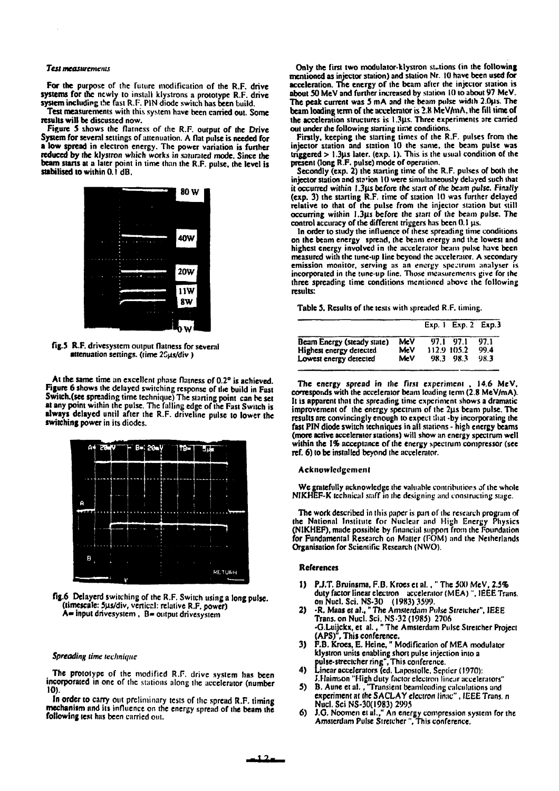### *Test measurements*

**For the purpose of the future modification of the R.F. drive systems for the newly to install klystrons a prototype R.F. drive system including the fast R.F. PIN diode switch has been build.** 

**Test measurements with this system have been carried out. Some results will be discussed now.** 

**Figure 5 shows the flatness of the R.F. output of the Drive System for several settings of attenuation. A flat pulse is needed for a low spread in electron energy. The power variation is further reduced by the klystron which works in saturated mode. Since the beam starts at a later point in time than the R.F. pulse, the level is**  stabilised to within 0.1 dB.



**fig.5 R.F. drivesystem output flatness for several**  attenuation settings. (time 2Gus/div )

**At the same time an excellent phase flatness of 0.2° is achieved. Figure 6 shows the delayed switching response of the build in Fast Switch.(see spreading time technique) The starting point can be set at any point within the pulse. The falling edge of the Fast Switch is always delayed until after the R.F. driveline pulse to lower the switching power in its diodes.** 



**fig.6 Delayerd switching of the R.F. Switch using a long pulse, (timescale: 5ns/div, verticr.1; relative R.F. power)**  A= input drivesystem, B= output drivesystem

#### *Spreading lime technique*

**The prototype of the modified R.F. drive system has been incorporated in one of the stations along the accelerator (number 10).** 

**In order to carry out preliminary tests of the spread R.F. timing mechanism and its influence on the energy spread of the beam the following test has been carried out.** 

**Only the first two modulator-klystron stations (in the following mentioned as injector station) and station Nr. 10 have been used for acceleration. The energy of the beam after the injector station is about 50 MeV and further increased by station 10 to about 97 MeV. The peak current was 5 mA and the beam pulse width 2.0jis. The**  beam loading term of the accelerator is 2.8 MeV/mA, the fill time of **the acceleration structures is 1.3p.s. Three experiments are carried out under the following starting time conditions.** 

**Firstly, keeping the starting times of the R.F. pulses from the injector station and station 10 the same, the beam pulse was triggered > 1.3ns later, (exp. 1). This is the usual condition of the present (long R.F. pulse) mode of operation.** 

**Secondly (exp. 2) the starting time of the R.F. pulses of both the injector station and sta'ion 10 were simultaneously delayed such that it occurred within 1.3ns before the start of the beam pulse. Finally (exp. 3) the starting R.F. time of station 10 was further delayed relative to that of the pulse from the injector station but still occurring within 1.3ns before the start of the beam pulse. The**  control accuracy of the different triggers has been 0.1 µs.

**In order to study the influence of these spreading time conditions on the beam energy spread, the beam energy and the lowest and highest energy involved in the accelerator beam pulse have been measured with the tune-up line beyond the accelerator. A secondary emission monitor, serving as an energy spc.iruni analyser is incorporated in the tune-up line. Those measurements give for the three spreading time conditions mentioned above the following results:** 

**Table 5. Results of the tests with spreaded R.F. timing.** 

|                            |            | Exp. 1 Exp. 2 Exp. 3 |      |
|----------------------------|------------|----------------------|------|
| Beam Energy (steady state) | MeV        | 97.1 97.1            | 97.1 |
| Highest energy detected    | MeV        | 112.9 105.2          | 99.4 |
| Lowest energy detected     | <b>MeV</b> | 98.3 98.3            | 98.3 |

**The energy spread in the first experiment . 14.6 MeV, corresponds with the accelerator beam loading term (2.8 MeV/mA). It is apparent that the spreading time experiment shows a dramatic improvement of the energy spectrum of the 2|is beam pulse. The results are convincingly enough to expect that -by incorporating the fast PIN diode switch techniques in all stations - high energy beams (more active accelerator stations) will show an energy spectrum well within the 1% acceptance of the energy spectrum compressor (see ref. 6) to be installed beyond the accelerator.** 

#### **Acknowledgement**

**We gratefully acknowledge the valuable contributions of the whole NJKHEF-K technical staff in the designing and constructing stage.** 

**The work described in this paper is part of the research program of the National Institute for Nuclear and High Energy Physics (NIKHEF), made possible by financial support front the Foundation for Fundamental Research on Matter (FOM) and the Netherlands Organisation for Scientific Research (NWO).** 

#### **References**

- **1) P.J.T. Bruinsma, F.B. Kroes et al., " The 500 MeV, 2.5% duty factor linear electron accelerator (M EA)", IEEE Trans, on Nucl. Sci. NS-30 (1983) 3599.**
- **2) -R, Maas et al.," The Amsterdam Pulse Stretcher", IEEE Trans, on Nucl. Sci. NS-32 (1985) 2706 -G.Luijckx, et al.," The Amsterdam Pulse Stretcher Project (APS)", This conference.**
- **3) F.B. Kroes, E. Heine," Modification of MEA modulator klystron units enabling short pulse injection into a pulse-strectcher ring", This conference.**
- **4) Linear accelerators (ed. Lapostollc, Scpticr (1970): J.Hnirmon "High duly factor electron linear accelerators"**
- **5) B. Aune et al., "Transient beamloading calculations and experiment at the SACLAY electron linac", IEEE Trans, n Nucl.SciNS-30(l983)2995**
- **6) J.G. Noomen et al.," An energy compression system for the Amsterdam Pulse Stretcher", This conference.**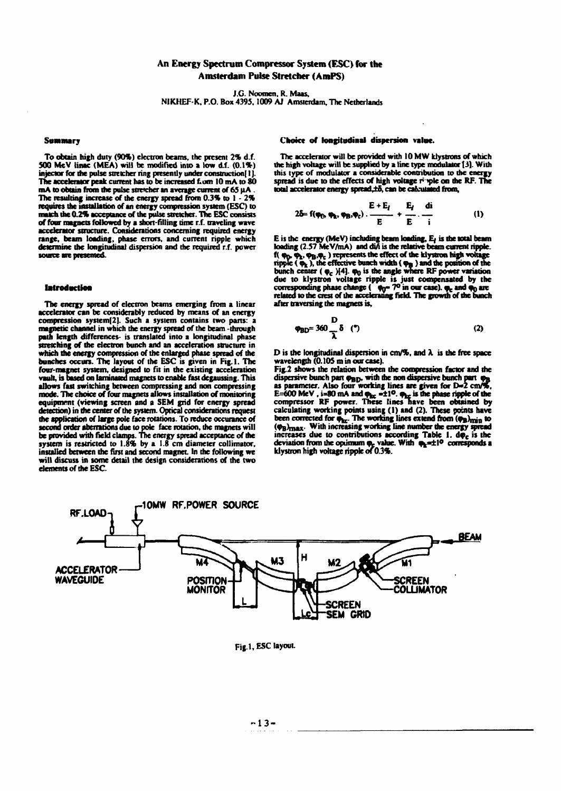# **An Energy Spectrum Compressor System (ESC) for the Amsterdam Pulse Stretcher (AmPS)**

**J.G. Noomen. R. Maas,** 

**NIKHEF K. P.O. Box 4395,1009 AJ Amsterdam, The Netherlands** 

#### **Summary**

**To obtain high duty (90%) electron beams, the present 2% d.f. 500 McV tinac (MEA) will be modified into a low d.f. (0.1%) injector for the pulse stretcher ring presently under construction! I J.**  The accelerator peak current has to be increased f.om 10 mA to 80 **mA to obtain from the pulse stretcher an average current of 65 uA. The resulting increase of the energy spread from 0.3% to 1 - 2% requires the installation of an energy compression system (ESC) to match the 0.2% acceptance of the pulse stretcher. The ESC consists of four magnets followed by a short-filling time r.f. traveling wave accelerator structure. Considerations concerning required energy range, beam loading, phase errors, and current ripple which determine die longitudinal dispersion and the required r.f. power source are presented** 

#### **Introduction**

**The energy spread of electron beams emerging from a linear accelerator can be considerably reduced by means of an energy compression system[2]. Such a system contains two pans: a magnetic channel in which the energy spread of the beam -through path length differences- is translated into a longitudinal phase stretching of the electron bunch and an acceleration structure in which die energy compression of the enlarged phase spread of the bunches occurs. The layout of the ESC is given in Fig.l. The four-magnet system, designed to fit in the existing acceleration vault, is based on laminated magnets to enable fast degaussing. This allows fast switching between compressing and non compressing mode. The choice of four magnets allows installation of monitoring equipment (viewing screen and a SEM grid for energy spread detection) in the center of the system. Optica) considerations request the application of large pole face rotations. To reduce occunnceof second order aberrations due to pole face rotation, the magnets will be provided with field clamps. The energy spread acceptance of the system is restricted to 1.8% by a 1.8 cm diameter collimator, insulted between die fint and second magnet. In the following we will discuss in some detail the design considerations of the two elements of die ESC.** 

#### **Choice of longitudinal dispersion value.**

**The accelerator will be provided with 10MW klystrons of which the high voltage will be supplied by a line type modulator 13]. With this type of modulator a considerable contribution to die energy**  spread is due to the effects of high voltage r *iple* on the RF. The total accelerator energy spread, **£5**, can be calculated from,

$$
2\delta = f(\varphi_0, \varphi_k, \varphi_B, \varphi_c) \cdot \frac{E + E_f}{E} + \frac{E_f}{E} \cdot \frac{di}{i} \tag{1}
$$

**E is die energy (MeV) including beam loading, E/is the total beam loading (2.57 Me V/mA) and di/i is die relative beam current ripple.**  f(  $\varphi_0$ ,  $\varphi_2$ ,  $\varphi_3$ ,  $\varphi_c$  ) represents the effect of the klystron high voltage **ripple («Pk), the effective bunch width (• \* ) and the position of the**  bunch center ( $\varphi_c$ )[4].  $\varphi_0$  is the angle where RF power variation **due to klystron voltage ripple is just compensated by the corresponding phase change ( •» " 7° in our case), «fc and fn arc related to the crest of die accelerating field. The growth of the bunch after traversing die magnets is.** 

$$
\varphi_{\text{BD}} = 360 \frac{D}{\lambda} \delta \quad (*) \tag{2}
$$

**D is the longitudinal dispersion in cm/%, and X is the free space wavelength (0.105 m in our case).** 

**Fig.2 shows the relation between die compression factor and die**  dispersive bunch part  $\varphi_{\rm BD}$ , with the non dispersive bunch part  $\varphi_{\rm B}$ **as parameter. Also four working lines are given for D»2 cm/%, E=600 MeV**, i=80 mA and  $\varphi_{\text{loc}}$  = ±1<sup>0</sup>.  $\varphi_{\text{loc}}$  is the phase ripple of the **compressor RF power. These lines nave been obtained by calculating working points using (1) and (2). These points have**  been corrected for  $\phi_{\text{hr}}$ . The working lines extend from ( $\phi_{\text{B}}$ )<sub>min</sub> to **(<Ps)max Wi \* increasing working line number the energy spread**  increases due to contributions according Table 1. do<sub>c</sub> is the deviation from the optimum  $\varphi_c$  value. With  $\varphi_k = \pm 1^\circ$  corresponds a **klystron high voltage ripple or 0.3%.** 



**Fig.l, ESC layout.**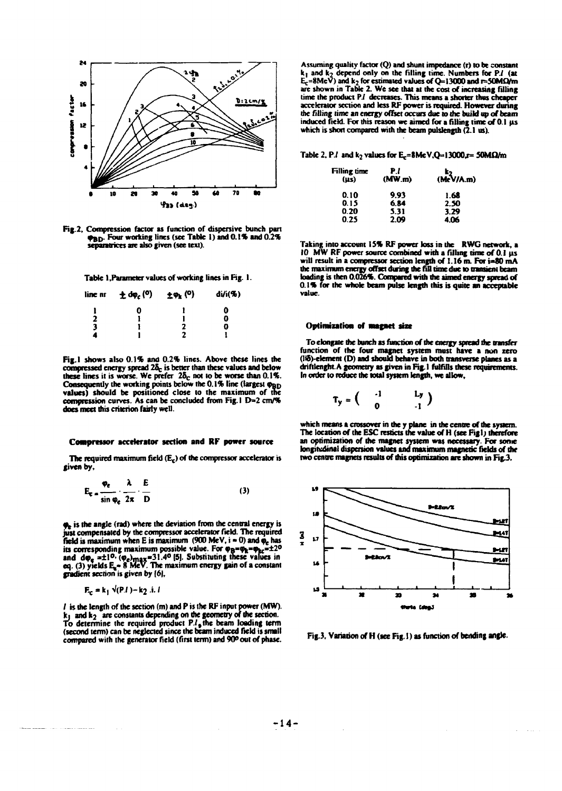

Fig. 2, Compression factor as function of dispersive bunch part **9BD- Four working lines (sec Table 1) and 0.1\* and 0.2% scparatrices are also given (see text).** 

**Table I .Parameter values of working lines in Fig. 1.** 

| line nr | $\pm$ do <sub>c</sub> ( <sup>0</sup> ) | $\pm \varphi_{\mathbf{k}}$ (°) | di/i(%) |
|---------|----------------------------------------|--------------------------------|---------|
|         | 0                                      |                                | 0       |
| 2       |                                        |                                | 0       |
| 3       |                                        | 2                              | 0       |
|         |                                        | ,                              |         |

**Fig. I shows also 0.1% and 0.2% lines. Above these lines the**  compressed energy spread  $2\delta_c$  is better than these values and below these lines it is worse. We prefer 28<sub>c</sub> not to be worse than 0.1%. Consequently the working points below the 0.1% line (largest  $\varphi_{BD}$ ) **values) should be positioned close to the maximum of the compression curves. As can be concluded from Fig. 1 D=2 cm/% does meet this criterion fairly well.** 

#### **Compressor accelerator section and RF power source**

The required maximum field (E<sub>c</sub>) of the compressor accelerator is **given by.** 

$$
E_{\tau} = \frac{\varphi_e}{\sin \varphi_e} \frac{\lambda}{2\pi} \frac{E}{D}
$$
 (3)

 $\varphi$ <sub>e</sub> is the angle (rad) where the deviation from the central energy is **just compensated by the compressor accelerator field. The required**  field is maximum when E is maximum  $(900 \text{ MeV}, i = 0)$  and  $\phi_e$  has its corresponding maximum possible value. For  $\varphi_B = \varphi_k = \varphi_{kc} = \pm 2^{\circ}$ and  $d\varphi_e = \pm 1^{0}$  ( $\varphi_e$ )<sub>max</sub>=31.4<sup>0</sup> [5]. Substituting these values in **eq. (3) yields E,« 8 MeV. The maximum energy gain of a constant gradient section is given by (6),** 

$$
\mathbf{E}_{\mathbf{c}} = \mathbf{k}_1 \ \mathbf{v}(\mathbf{P}.l) - \mathbf{k}_2 \ \mathbf{i}. l
$$

**/ is the length of the section (m) and P is the RF input power (MW). ki andk} are constants depending oo the geometry of the section. To determine the required product P./,the beam loading term (second term) can be neglected since the beam induced field is small**  compared with the generator field (first term) and 90<sup>0</sup> out of phase.

**Assuming quality factor (Q) and shunt impedance (r) to be constant k| and k? depend only on the filling time. Numbers for P./ (at Ec=8MeV) and k2 for estimated values of Q= 13000 and r=50MQ/m are shown in Table 2. We see that at the cost of increasing filling time the product Pi decreases. This means a shorter thus cheaper accelerator section and less RF power is required. However during the filling lime an energy offset occurs due to the build up of beam induced field. For this reason we aimed for a filling time of 01 us which is short compared with the beam pulslength (2.1 us).** 

Table 2, P.I and  $k_2$  values for E<sub>x</sub>=8MeV.Q» 13000.r= 50M $\Omega/m$ 

| Filling time<br>(us) | P.I<br>(MW.m) | $k_2$<br>(MeV/A.m) |  |  |
|----------------------|---------------|--------------------|--|--|
| 0.10                 | 9.93          | 1.68               |  |  |
| 0.15                 | 6.84          | 2.50               |  |  |
| 0.20                 | 5.31          | 3.29               |  |  |
| 0.25                 | 2.09          | 4.06               |  |  |

**Taking into account 15% RF power loss in the RWG network, a 10 MW RF power source combined with a filling time of 0.1 us will result in a compressor section length of 1.16 m. For i=S0 mA**  the maximum energy offset during the fill time due to transient beam **loading is then 0.026%. Compared with the aimed energy spread of 0.1% for the whole beam pulse length this is quite an acceptable value.** 

#### **Optimization of magnet size**

**To elongate die bunch as function of die energy spread die transfer function of the four magnet system must have a non zero (IlS)-element (D) and should behave in both transverse planes as a driftlenght.A geometry as given in Rg.l fulfills these requirements. In order to reduce the total system length, we allow.** 

$$
\mathbf{T}_{\mathbf{y}} = \begin{pmatrix} -1 & \mathbf{L}_{\mathbf{y}} \\ 0 & -1 \end{pmatrix}
$$

**which means a crossover in die y plane in die centre of die system. The location of the ESC resticts the value of H (see Figl) therefore an optimization of the magnet system was necessary. For some longitudinal dispersion values and maximum magnetic fields of die two centre magnets results of this optimization are shown in Rg.3.** 



**Fig.3, Variation of H (see Fig. I) as function of bending angle.** 

 $\Delta\phi = 1.14\pm 0.1$